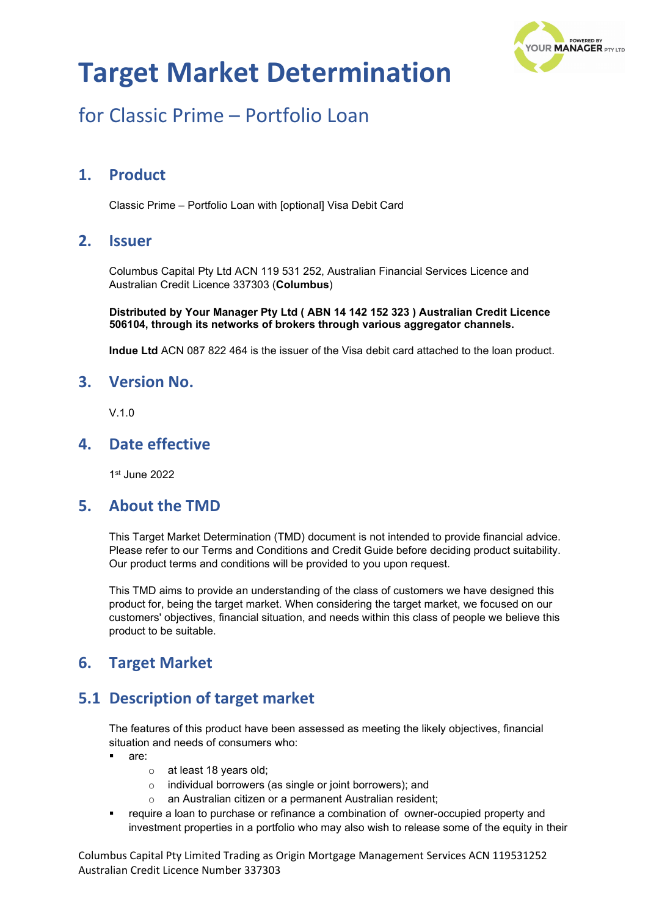

## for Classic Prime – Portfolio Loan

### **1. Product**

Classic Prime – Portfolio Loan with [optional] Visa Debit Card

### **2. Issuer**

Columbus Capital Pty Ltd ACN 119 531 252, Australian Financial Services Licence and Australian Credit Licence 337303 (**Columbus**)

**Distributed by Your Manager Pty Ltd ( ABN 14 142 152 323 ) Australian Credit Licence 506104, through its networks of brokers through various aggregator channels.**

**Indue Ltd** ACN 087 822 464 is the issuer of the Visa debit card attached to the loan product.

#### **3. Version No.**

 $V$ 10

### **4. Date effective**

1st June 2022

#### **5. About the TMD**

This Target Market Determination (TMD) document is not intended to provide financial advice. Please refer to our Terms and Conditions and Credit Guide before deciding product suitability. Our product terms and conditions will be provided to you upon request.

This TMD aims to provide an understanding of the class of customers we have designed this product for, being the target market. When considering the target market, we focused on our customers' objectives, financial situation, and needs within this class of people we believe this product to be suitable.

### **6. Target Market**

### **5.1 Description of target market**

The features of this product have been assessed as meeting the likely objectives, financial situation and needs of consumers who:

- are:
	- o at least 18 years old;
	- o individual borrowers (as single or joint borrowers); and
	- o an Australian citizen or a permanent Australian resident;
- require a loan to purchase or refinance a combination of owner-occupied property and investment properties in a portfolio who may also wish to release some of the equity in their

Columbus Capital Pty Limited Trading as Origin Mortgage Management Services ACN 119531252 Australian Credit Licence Number 337303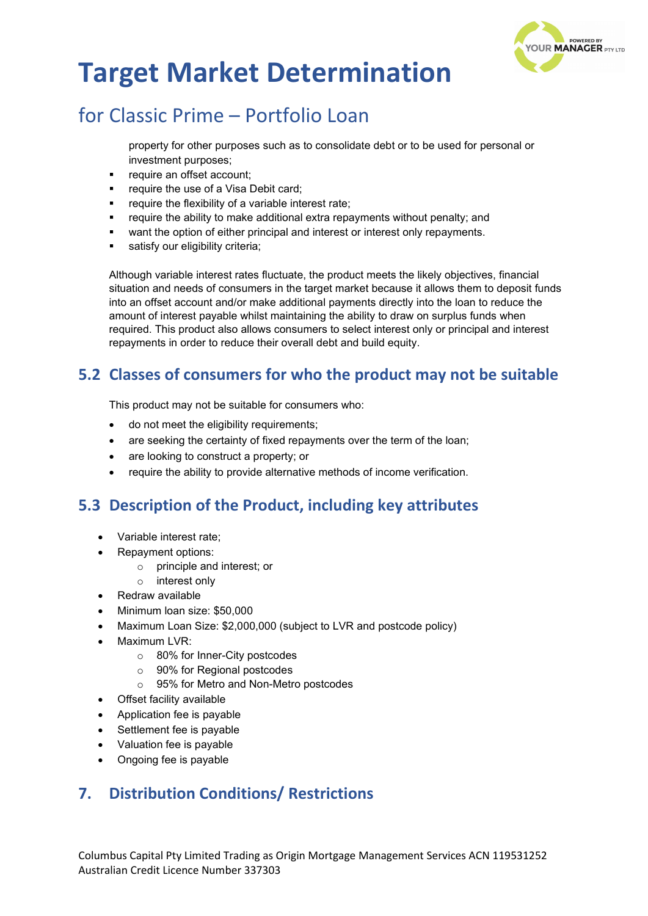

## for Classic Prime – Portfolio Loan

property for other purposes such as to consolidate debt or to be used for personal or investment purposes;

- require an offset account;
- require the use of a Visa Debit card;
- require the flexibility of a variable interest rate;
- require the ability to make additional extra repayments without penalty; and
- want the option of either principal and interest or interest only repayments.
- satisfy our eligibility criteria;

Although variable interest rates fluctuate, the product meets the likely objectives, financial situation and needs of consumers in the target market because it allows them to deposit funds into an offset account and/or make additional payments directly into the loan to reduce the amount of interest payable whilst maintaining the ability to draw on surplus funds when required. This product also allows consumers to select interest only or principal and interest repayments in order to reduce their overall debt and build equity.

### **5.2 Classes of consumers for who the product may not be suitable**

This product may not be suitable for consumers who:

- do not meet the eligibility requirements;
- are seeking the certainty of fixed repayments over the term of the loan;
- are looking to construct a property; or
- require the ability to provide alternative methods of income verification.

### **5.3 Description of the Product, including key attributes**

- Variable interest rate;
- Repayment options:
	- o principle and interest; or
	- o interest only
- Redraw available
- Minimum loan size: \$50,000
- Maximum Loan Size: \$2,000,000 (subject to LVR and postcode policy)
- Maximum LVR:
	- o 80% for Inner-City postcodes
	- o 90% for Regional postcodes
	- o 95% for Metro and Non-Metro postcodes
- Offset facility available
- Application fee is payable
- Settlement fee is payable
- Valuation fee is payable
- Ongoing fee is payable

### **7. Distribution Conditions/ Restrictions**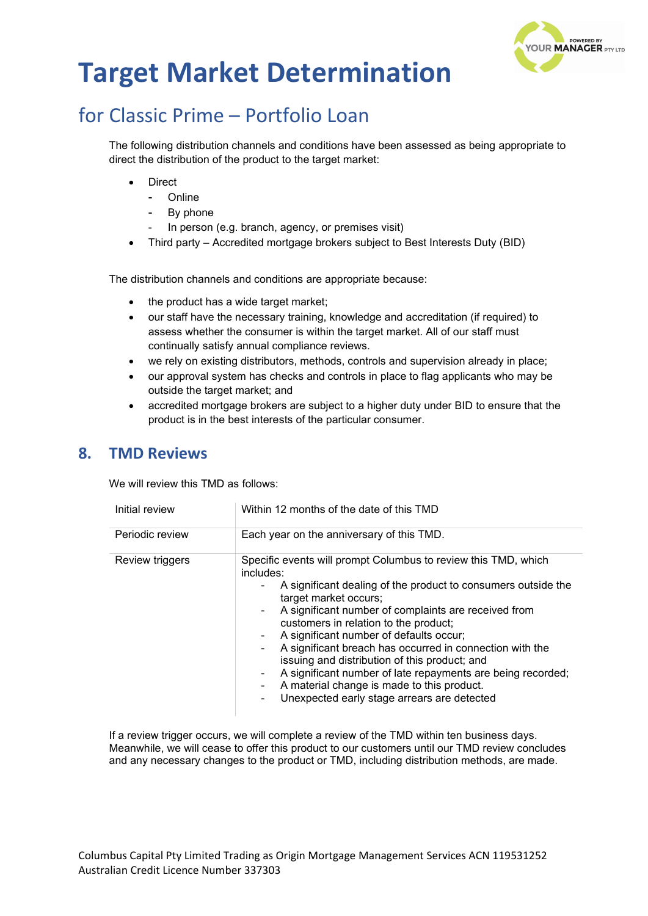

# for Classic Prime – Portfolio Loan

The following distribution channels and conditions have been assessed as being appropriate to direct the distribution of the product to the target market:

- **Direct** 
	- Online
	- By phone
	- In person (e.g. branch, agency, or premises visit)
- Third party Accredited mortgage brokers subject to Best Interests Duty (BID)

The distribution channels and conditions are appropriate because:

- the product has a wide target market;
- our staff have the necessary training, knowledge and accreditation (if required) to assess whether the consumer is within the target market. All of our staff must continually satisfy annual compliance reviews.
- we rely on existing distributors, methods, controls and supervision already in place;
- our approval system has checks and controls in place to flag applicants who may be outside the target market; and
- accredited mortgage brokers are subject to a higher duty under BID to ensure that the product is in the best interests of the particular consumer.

#### **8. TMD Reviews**

We will review this TMD as follows:

| Initial review  | Within 12 months of the date of this TMD                                                                                                                                                                                                                                                                                                                                                                                                                                                                                                                                                                          |
|-----------------|-------------------------------------------------------------------------------------------------------------------------------------------------------------------------------------------------------------------------------------------------------------------------------------------------------------------------------------------------------------------------------------------------------------------------------------------------------------------------------------------------------------------------------------------------------------------------------------------------------------------|
| Periodic review | Each year on the anniversary of this TMD.                                                                                                                                                                                                                                                                                                                                                                                                                                                                                                                                                                         |
| Review triggers | Specific events will prompt Columbus to review this TMD, which<br>includes:<br>A significant dealing of the product to consumers outside the<br>target market occurs;<br>A significant number of complaints are received from<br>customers in relation to the product;<br>A significant number of defaults occur;<br>$\blacksquare$<br>A significant breach has occurred in connection with the<br>issuing and distribution of this product; and<br>A significant number of late repayments are being recorded;<br>۰<br>A material change is made to this product.<br>Unexpected early stage arrears are detected |

If a review trigger occurs, we will complete a review of the TMD within ten business days. Meanwhile, we will cease to offer this product to our customers until our TMD review concludes and any necessary changes to the product or TMD, including distribution methods, are made.